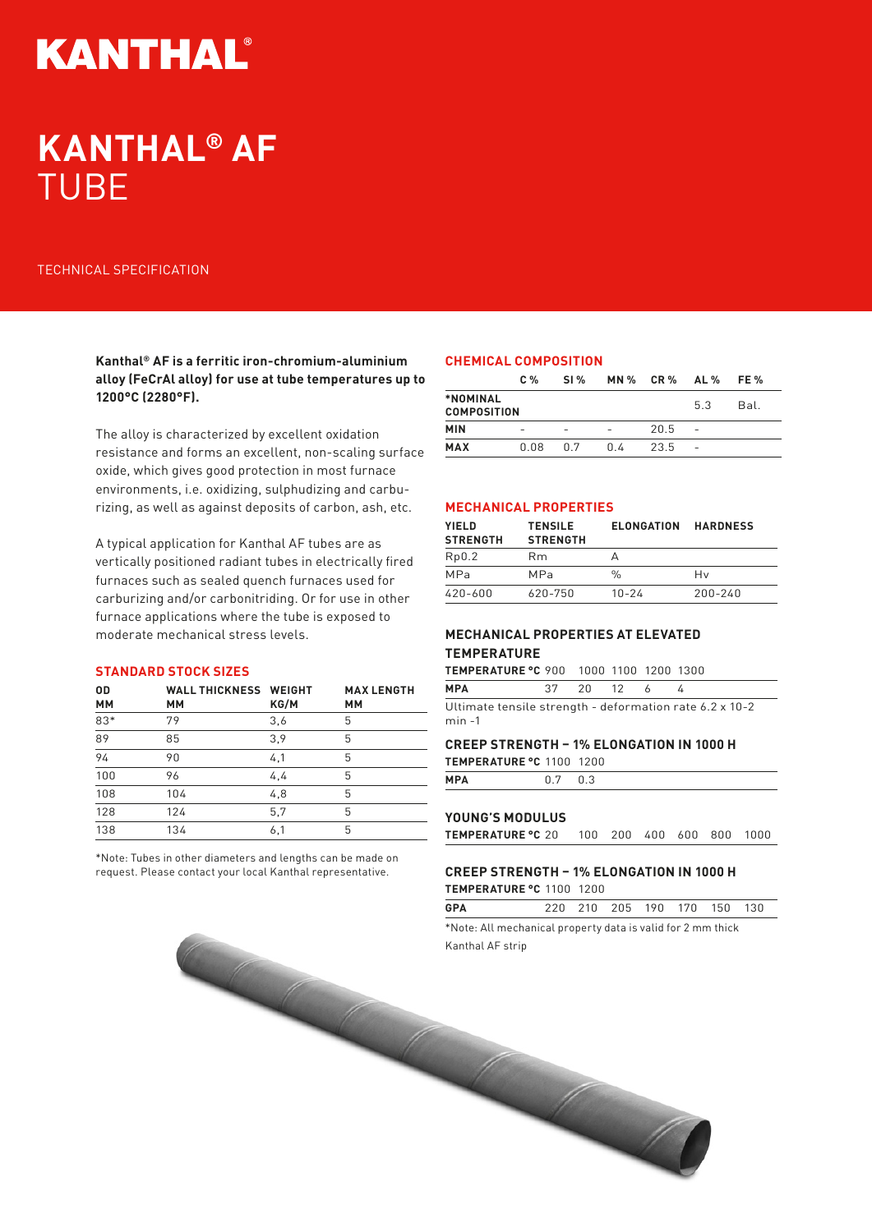# **KANTHAL®**

## **KANTHAL® AF**  TUBE

## TECHNICAL SPECIFICATION

**Kanthal® AF is a ferritic iron-chromium-aluminium alloy (FeCrAl alloy) for use at tube temperatures up to 1200°C (2280°F).** 

The alloy is characterized by excellent oxidation resistance and forms an excellent, non-scaling surface oxide, which gives good protection in most furnace environments, i.e. oxidizing, sulphudizing and carburizing, as well as against deposits of carbon, ash, etc.

A typical application for Kanthal AF tubes are as vertically positioned radiant tubes in electrically fired furnaces such as sealed quench furnaces used for carburizing and/or carbonitriding. Or for use in other furnace applications where the tube is exposed to moderate mechanical stress levels.

### **STANDARD STOCK SIZES**

| 0D<br><b>MM</b> | <b>WALL THICKNESS WEIGHT</b><br><b>MM</b> | KG/M | <b>MAX LENGTH</b><br>MМ |
|-----------------|-------------------------------------------|------|-------------------------|
| 83*             | 79                                        | 3,6  | 5                       |
| $\overline{89}$ | 85                                        | 3,9  | 5                       |
| 94              | 90                                        | 4,1  | 5                       |
| 100             | 96                                        | 4,4  | 5                       |
| 108             | 104                                       | 4,8  | 5                       |
| 128             | 124                                       | 5,7  | 5                       |
| 138             | 134                                       | 6,1  | 5                       |

\*Note: Tubes in other diameters and lengths can be made on request. Please contact your local Kanthal representative.

## **CHEMICAL COMPOSITION**

|                                | C <sub>0</sub> | SI % | <b>MN % CR %</b> |      | AL % | FE % |
|--------------------------------|----------------|------|------------------|------|------|------|
| *NOMINAL<br><b>COMPOSITION</b> |                |      |                  |      | 53   | Bal. |
| <b>MIN</b>                     | -              |      |                  | 20.5 |      |      |
| <b>MAX</b>                     | 0.08           | በ 7  | በ 4              | 23.5 |      |      |

## **MECHANICAL PROPERTIES**

| <b>YIELD</b><br><b>STRENGTH</b> | <b>TENSILE</b><br><b>STRENGTH</b> | <b>ELONGATION</b> | <b>HARDNESS</b> |
|---------------------------------|-----------------------------------|-------------------|-----------------|
| Rp0.2                           | Rm.                               |                   |                 |
| MPa                             | MP <sub>a</sub>                   | %                 | Hv              |
| 420-600                         | 620-750                           | $10 - 24$         | $200 - 240$     |

## **MECHANICAL PROPERTIES AT ELEVATED TEMPERATURE**

| <b>TEMPERATURE °C 900 1000 1100 1200 1300</b> |            |  |  |
|-----------------------------------------------|------------|--|--|
| <b>MPA</b>                                    | 37 20 12 6 |  |  |

Ultimate tensile strength - deformation rate 6.2 x 10-2 min -1

## **CREEP STRENGTH – 1% ELONGATION IN 1000 H**

**TEMPERATURE °C** 1100 1200

| <b>MPA</b><br><u>r</u> | the contract of the contract of the |  |  |
|------------------------|-------------------------------------|--|--|
|                        |                                     |  |  |

#### **YOUNG'S MODULUS**

**TEMPERATURE °C** 20 100 200 400 600 800 1000

## **CREEP STRENGTH – 1% ELONGATION IN 1000 H**

**TEMPERATURE °C** 1100 1200

| <b>GPA</b> |  |  |  |   | 220 210 205 190 170 150 130 |  |
|------------|--|--|--|---|-----------------------------|--|
|            |  |  |  | . |                             |  |

\*Note: All mechanical property data is valid for 2 mm thick Kanthal AF strip